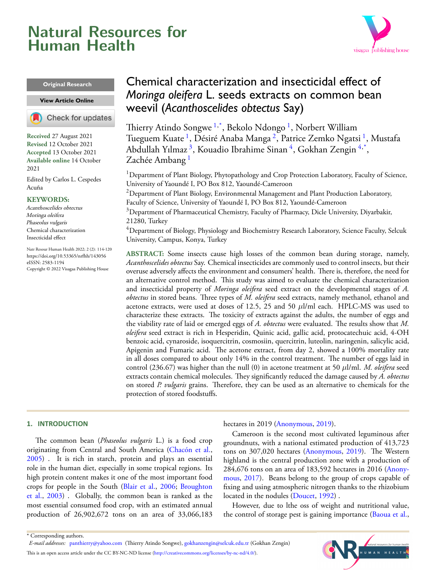# <span id="page-0-4"></span>**Natural Resources for Human Health**



#### **Original Research**

#### **[View Article](https://doi.org/10.53365/nrfhh/143056) Online**

Check for updates

**Received** 27 August 2021 **Revised** 12 October 2021 **Accepted** 13 October 2021 **Available online** 14 October 2021

Edited by Carlos L. Cespedes Acuña

#### **KEYWORDS:**

Acanthoscelides obtectus Moringa oleifera Phaseolus vulgaris Chemical characterization Insecticidal effect

Natr Resour Human Health 2022; 2 (2): 114-120 <https://doi.org/10.53365/nrfhh/143056> eISSN: 2583-1194 Copyright © 2022 Visagaa Publishing House

## Chemical characterization and insecticidal effect of *Moringa oleifera* L. seeds extracts on common bean weevil (*Acanthoscelides obtectus* Say)

Thierry Atindo Songwe <sup>[1](#page-0-0),\*</sup>, Bekolo Ndongo <sup>1</sup>, Norbert William Tueguem Kuate <sup>[1](#page-0-0)</sup>, Désiré Anaba Manga <sup>[2](#page-0-1)</sup>, Patrice Zemko Ngatsi <sup>1</sup>, Mustafa Abdullah Yılmaz <sup>[3](#page-0-2)</sup>, Kouadio Ibrahime Sinan <sup>[4](#page-0-3)</sup>, Gokhan Zengin <sup>4,\*</sup>, Zachée Ambang<sup>[1](#page-0-0)</sup>

<span id="page-0-0"></span><sup>1</sup> Department of Plant Biology, Phytopathology and Crop Protection Laboratory, Faculty of Science, University of Yaoundé I, PO Box 812, Yaoundé-Cameroon

<span id="page-0-1"></span> $2$ Department of Plant Biology, Environmental Management and Plant Production Laboratory, Faculty of Science, University of Yaoundé I, PO Box 812, Yaoundé-Cameroon

<span id="page-0-2"></span><sup>3</sup>Department of Pharmaceutical Chemistry, Faculty of Pharmacy, Dicle University, Diyarbakir, 21280, Turkey

<span id="page-0-3"></span> $4$ Department of Biology, Physiology and Biochemistry Research Laboratory, Science Faculty, Selcuk University, Campus, Konya, Turkey

**ABSTRACT:** Some insects cause high losses of the common bean during storage, namely, *Acanthoscelides obtectus* Say. Chemical insecticides are commonly used to control insects, but their overuse adversely affects the environment and consumers' health. There is, therefore, the need for an alternative control method. This study was aimed to evaluate the chemical characterization and insecticidal property of *Moringa oleifera* seed extract on the developmental stages of *A. obtectus* in stored beans. Three types of *M. oleifera* seed extracts, namely methanol, ethanol and acetone extracts, were used at doses of 12.5, 25 and 50 *µ*l/ml each. HPLC-MS was used to characterize these extracts. The toxicity of extracts against the adults, the number of eggs and the viability rate of laid or emerged eggs of *A. obtectus* were evaluated. The results show that *M. oleifera* seed extract is rich in Hesperidin, Quinic acid, gallic acid, protocatechuic acid, 4-OH benzoic acid, cynaroside, isoquercitrin, cosmosiin, quercitrin, luteolin, naringenin, salicylic acid, Apigenin and Fumaric acid. The acetone extract, from day 2, showed a 100% mortality rate in all doses compared to about only 14% in the control treatment. The number of eggs laid in control (236.67) was higher than the null (0) in acetone treatment at 50 *µ*l/ml. *M. oleifera* seed extracts contain chemical molecules. They significantly reduced the damage caused by *A. obtectus* on stored *P. vulgaris* grains. Therefore, they can be used as an alternative to chemicals for the protection of stored foodstuffs.

## **1. INTRODUCTION**

The common bean (*Phaseolus vulgaris* L.) is a food crop originating from Central and South America [\(Chacón et al.,](#page-5-0) [2005](#page-5-0)) . It is rich in starch, protein and plays an essential role in the human diet, especially in some tropical regions. Its high protein content makes it one of the most important food crops for people in the South [\(Blair et al.](#page-4-0), [2006;](#page-4-0) [Broughton](#page-5-1) [et al.](#page-5-1), [2003](#page-5-1)) . Globally, the common bean is ranked as the most essential consumed food crop, with an estimated annual production of 26,902,672 tons on an area of 33,066,183 hectaresin 2019 ([Anonymous,](#page-4-1) [2019\)](#page-4-1).

Cameroon is the second most cultivated leguminous after groundnuts, with a national estimated production of 413,723 tons on 307,020 hectares [\(Anonymous,](#page-4-1) [2019\)](#page-4-1). The Western highland is the central production zone with a production of 284,676 tons on an area of 183,592 hectares in 2016 [\(Anony](#page-4-2)[mous](#page-4-2), [2017](#page-4-2)). Beans belong to the group of crops capable of fixing and using atmospheric nitrogen thanks to the rhizobium located in the nodules [\(Doucet](#page-5-2), [1992](#page-5-2)) .

However, due to lthe oss of weight and nutritional value, the control of storage pest is gaining importance [\(Baoua et al.](#page-4-3),

*E-mail addresses:* [panthierry@yahoo.com](mailto:{panthierry@yahoo.com } ) (Thierry Atindo Songwe), [gokhanzengin@selcuk.edu.tr](mailto:{gokhanzengin@selcuk.edu.tr} ) (Gokhan Zengin) Thisis an open access article under the CC BY-NC-ND license (<http://creativecommons.org/licenses/by-nc-nd/4.0/>).



<sup>\*</sup> Corresponding authors.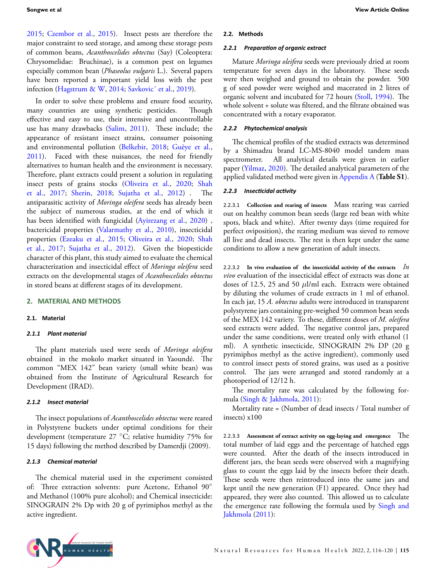[2015](#page-4-3); [Czembor et al.,](#page-5-3) [2015\)](#page-5-3). Insect pests are therefore the major constraint to seed storage, and among these storage pests of common beans, *Acanthoscelides obtectus* (Say) (Coleoptera: Chrysomelidae: Bruchinae), is a common pest on legumes especially common bean (*Phaseolus vulgaris* L.). Several papers have been reported a important yield loss with the pest infection([Hagstrum & W](#page-5-4), [2014;](#page-5-4) Savkovic' et al., [2019\)](#page-5-5).

In order to solve these problems and ensure food security, many countries are using synthetic pesticides. Though effective and easy to use, their intensive and uncontrollable use has many drawbacks([Salim](#page-5-6), [2011](#page-5-6)). These include; the appearance of resistant insect strains, consumer poisoning and environmental pollution([Belkebir](#page-4-4), [2018;](#page-4-4) [Guèye et al.,](#page-5-7) [2011](#page-5-7)). Faced with these nuisances, the need for friendly alternatives to human health and the environment is necessary. Therefore, plant extracts could present a solution in regulating insect pests of grains stocks([Oliveira et al.,](#page-5-8) [2020](#page-5-8); [Shah](#page-5-9) [et al.](#page-5-9), [2017;](#page-5-9) [Sherin](#page-5-10), [2018;](#page-5-10) [Sujatha et al.](#page-5-11), [2012\)](#page-5-11) . The antiparasitic activity of *Moringa oleifera* seeds has already been the subject of numerous studies, at the end of which it hasbeen identified with fungicidal ([Ayirezang et al.,](#page-4-5) [2020](#page-4-5)), bactericidal properties [\(Valarmathy et al.,](#page-5-12) [2010\)](#page-5-12), insecticidal properties([Ezeaku et al.,](#page-5-13) [2015](#page-5-13); [Oliveira et al.,](#page-5-8) [2020;](#page-5-8) [Shah](#page-5-9) [et al.](#page-5-9), [2017;](#page-5-9) [Sujatha et al.,](#page-5-11) [2012\)](#page-5-11). Given the biopesticide character of this plant, this study aimed to evaluate the chemical characterization and insecticidal effect of *Moringa oleifera* seed extracts on the developmental stages of *Acanthoscelides obtectus* in stored beans at different stages of its development.

## **2. MATERIAL AND METHODS**

## **2.1. Material**

#### *2.1.1 Plant material*

The plant materials used were seeds of *Moringa oleifera* obtained in the mokolo market situated in Yaoundé. The common "MEX 142" bean variety (small white bean) was obtained from the Institute of Agricultural Research for Development (IRAD).

#### *2.1.2 Insect material*

The insect populations of *Acanthoscelides obtectus* were reared in Polystyrene buckets under optimal conditions for their development (temperature 27 *◦*C; relative humidity 75% for 15 days) following the method described by Damerdji (2009).

#### *2.1.3 Chemical material*

The chemical material used in the experiment consisted of: Three extraction solvents: pure Acetone, Ethanol 90*◦* and Methanol (100% pure alcohol); and Chemical insecticide: SINOGRAIN 2% Dp with 20 g of pyrimiphos methyl as the active ingredient.

#### **2.2. Methods**

#### *2.2.1 PreparaƟon of organic extract*

Mature *Moringa oleifera* seeds were previously dried at room temperature for seven days in the laboratory. These seeds were then weighed and ground to obtain the powder. 500 g of seed powder were weighed and macerated in 2 litres of organic solvent and incubated for 72 hours([Stoll](#page-5-14), [1994\)](#page-5-14). The whole solvent + solute was filtered, and the filtrate obtained was concentrated with a rotary evaporator.

#### *2.2.2 Phytochemical analysis*

The chemical profiles of the studied extracts was determined by a Shimadzu brand LC-MS-8040 model tandem mass spectrometer. All analytical details were given in earlier paper([Yilmaz](#page-6-0), [2020](#page-6-0)). The detailed analytical parameters of the applied validated method were given in Appendix [A](#page-4-6) (**Table S1**).

#### *2.2.3 InsecƟcidal acƟvity*

2.2.3.1 **Collection and rearing of insects** Mass rearing was carried out on healthy common bean seeds (large red bean with white spots, black and white). After twenty days (time required for perfect oviposition), the rearing medium was sieved to remove all live and dead insects. The rest is then kept under the same conditions to allow a new generation of adult insects.

2.2.3.2 **In vivo evaluation of the insecticidal activity of the extracts** *In vivo* evaluation of the insecticidal effect of extracts was done at doses of 12.5, 25 and 50 *µ*l/ml each. Extracts were obtained by diluting the volumes of crude extracts in 1 ml of ethanol. In each jar, 15 *A. obtectus* adults were introduced in transparent polystyrene jars containing pre-weighed 50 common bean seeds of the MEX 142 variety. To these, different doses of *M. oleifera* seed extracts were added. The negative control jars, prepared under the same conditions, were treated only with ethanol (1 ml). A synthetic insecticide, SINOGRAIN 2% DP (20 g pyrimiphos methyl as the active ingredient), commonly used to control insect pests of stored grains, was used as a positive control. The jars were arranged and stored randomly at a photoperiod of 12/12 h.

The mortality rate was calculated by the following formula([Singh & Jakhmola,](#page-5-15) [2011\)](#page-5-15):

Mortality rate = (Number of dead insects / Total number of insects) x100

2.2.3.3 **Assessment of extract activity on egg-laying and emergence** The total number of laid eggs and the percentage of hatched eggs were counted. After the death of the insects introduced in different jars, the bean seeds were observed with a magnifying glass to count the eggs laid by the insects before their death. These seeds were then reintroduced into the same jars and kept until the new generation (F1) appeared. Once they had appeared, they were also counted. This allowed us to calculate the emergence rate following the formula used by [Singh and](#page-5-15) [Jakhmola](#page-5-15) [\(2011](#page-5-15)):

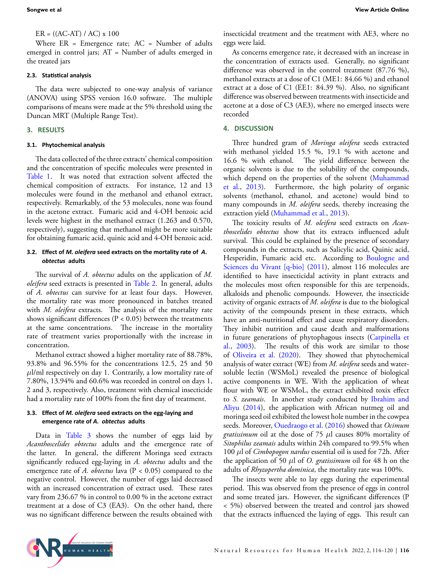$ER = ((AC-AT) / AC) \times 100$ 

Where ER = Emergence rate; AC = Number of adults emerged in control jars; AT = Number of adults emerged in the treated jars

## **2.3. StaƟsƟcal analysis**

The data were subjected to one-way analysis of variance (ANOVA) using SPSS version 16.0 software. The multiple comparisons of means were made at the 5% threshold using the Duncan MRT (Multiple Range Test).

#### **3. RESULTS**

#### **3.1. Phytochemical analysis**

The data collected of the three extracts' chemical composition and the concentration of specific molecules were presented in Table [1.](#page-3-0) It was noted that extraction solvent affected the chemical composition of extracts. For instance, 12 and 13 molecules were found in the methanol and ethanol extract, respectively. Remarkably, of the 53 molecules, none was found in the acetone extract. Fumaric acid and 4-OH benzoic acid levels were highest in the methanol extract (1.263 and 0.570, respectively), suggesting that methanol might be more suitable for obtaining fumaric acid, quinic acid and 4-OH benzoic acid.

## **3.2. Effect of** *M. oleifera* **seed extracts on the mortality rate of** *A. obtectus* **adults**

The survival of *A. obtectus* adults on the application of *M. oleifera* seed extracts is presented in Table [2.](#page-3-1) In general, adults of *A. obtectus* can survive for at least four days. However, the mortality rate was more pronounced in batches treated with *M. oleifera* extracts. The analysis of the mortality rate shows significant differences ( $P < 0.05$ ) between the treatments at the same concentrations. The increase in the mortality rate of treatment varies proportionally with the increase in concentration.

Methanol extract showed a higher mortality rate of 88.78%, 93.8% and 96.55% for the concentrations 12.5, 25 and 50 *µ*l/ml respectively on day 1. Contrarily, a low mortality rate of 7.80%, 13.94% and 60.6% was recorded in control on days 1, 2 and 3, respectively. Also, treatment with chemical insecticide had a mortality rate of 100% from the first day of treatment.

## **3.3. Effect of** *M. oleifera* **seed extracts on the egg-laying and emergence rate of** *A. obtectus* **adults**

Data in Table [3](#page-3-2) shows the number of eggs laid by *Acanthoscelides obtectus* adults and the emergence rate of the latter. In general, the different Moringa seed extracts significantly reduced egg-laying in *A. obtectus* adults and the emergence rate of *A. obtectus* lava (P < 0.05) compared to the negative control. However, the number of eggs laid decreased with an increased concentration of extract used. These rates vary from 236.67 % in control to 0.00 % in the acetone extract treatment at a dose of C3 (EA3). On the other hand, there was no significant difference between the results obtained with insecticidal treatment and the treatment with AE3, where no eggs were laid.

As concerns emergence rate, it decreased with an increase in the concentration of extracts used. Generally, no significant difference was observed in the control treatment (87.76 %), methanol extracts at a dose of C1 (ME1: 84.66 %) and ethanol extract at a dose of C1 (EE1: 84.39 %). Also, no significant difference was observed between treatments with insecticide and acetone at a dose of C3 (AE3), where no emerged insects were recorded

#### **4. DISCUSSION**

Three hundred gram of *Moringa oleifera* seeds extracted with methanol yielded 15.5 %, 19.1 % with acetone and 16.6 % with ethanol. The yield difference between the organic solvents is due to the solubility of the compounds, which depend on the properties of the solvent([Muhammad](#page-5-16) [et al.,](#page-5-16) [2013\)](#page-5-16). Furthermore, the high polarity of organic solvents (methanol, ethanol, and acetone) would bind to many compounds in *M. oleifera* seeds, thereby increasing the extraction yield [\(Muhammad et al.](#page-5-16), [2013\)](#page-5-16).

The toxicity results of *M. oleifera* seed extracts on *Acanthoscelides obtectus* show that its extracts influenced adult survival. This could be explained by the presence of secondary compounds in the extracts, such as Salicylic acid, Quinic acid, Hesperidin, Fumaric acid etc. According to [Boulogne and](#page-4-7) [Sciences du Vivant \[q-bio\]](#page-4-7) ([2011\)](#page-4-7), almost 116 molecules are identified to have insecticidal activity in plant extracts and the molecules most often responsible for this are terpenoids, alkaloids and phenolic compounds. However, the insecticide activity of organic extracts of *M. oleifera* is due to the biological activity of the compounds present in these extracts, which have an anti-nutritional effect and cause respiratory disorders. They inhibit nutrition and cause death and malformations in future generations of phytophagous insects [\(Carpinella et](#page-5-17) [al.,](#page-5-17) [2003\)](#page-5-17). The results of this work are similar to those of [Oliveira et al.](#page-5-8) [\(2020\)](#page-5-8). They showed that phytochemical analysis of water extract (WE) from *M. oleifera* seeds and watersoluble lectin (WSMoL) revealed the presence of biological active components in WE. With the application of wheat flour with WE or WSMoL, the extract exhibited toxix effect to *S. zeamais*. In another study conducted by [Ibrahim and](#page-5-18) [Aliyu](#page-5-18) [\(2014](#page-5-18)), the application with African nutmeg oil and moringa seed oil exhibited the lowest hole number in the cowpea seeds. Moreover, [Ouedraogo et al.](#page-5-19) [\(2016](#page-5-19)) showed that *Ocimum gratissimum* oil at the dose of 75 *µ*l causes 80% mortality of *Sitophilus zeamais* adults within 24h compared to 99.5% when 100 *µ*l of *Cimbopogon nardus* essential oil is used for 72h. After the application of 50 *µ*l of *O. gratissimum* oil for 48 h on the adults of *Rhyzopertha dominica*, the mortality rate was 100%.

The insects were able to lay eggs during the experimental period. This was observed from the presence of eggs in control and some treated jars. However, the significant differences (P < 5%) observed between the treated and control jars showed that the extracts influenced the laying of eggs. This result can

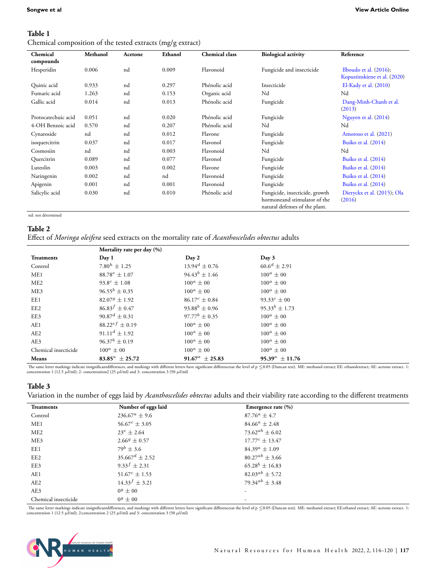## <span id="page-3-0"></span>**Table 1**

Chemical composition of the tested extracts (mg/g extract)

| Chemical            | Methanol | Acetone | Ethanol | Chemical class | <b>Biological activity</b>                                                                       | Reference                                                 |
|---------------------|----------|---------|---------|----------------|--------------------------------------------------------------------------------------------------|-----------------------------------------------------------|
| compounds           |          |         |         |                |                                                                                                  |                                                           |
| Hesperidin          | 0.006    | nd      | 0.009   | Flavonoid      | Fungicide and insecticide                                                                        | Ilboudo et al. $(2016)$ ;<br>Kopustinskiene et al. (2020) |
| Quinic acid         | 0.933    | nd      | 0.297   | Phénolic acid  | Insecticide                                                                                      | El-Kady et al. (2010)                                     |
| Fumaric acid        | 1.263    | nd      | 0.153   | Organic acid   | Nd                                                                                               | Nd                                                        |
| Gallic acid         | 0.014    | nd      | 0.013   | Phénolic acid  | Fungicide                                                                                        | Dang-Minh-Chanh et al.<br>(2013)                          |
| Protocatechuic acid | 0.051    | nd      | 0.020   | Phénolic acid  | Fungicide                                                                                        | Nguyen et al. (2014)                                      |
| 4-OH Benzoic acid   | 0.570    | nd      | 0.207   | Phénolic acid  | Nd                                                                                               | Nd                                                        |
| Cynaroside          | nd       | nd      | 0.012   | Flavone        | Fungicide                                                                                        | Amoroso et al. (2021)                                     |
| isoquercitrin       | 0.037    | nd      | 0.017   | Flavonol       | Fungicide                                                                                        | Buśko et al. (2014)                                       |
| Cosmosiin           | nd       | nd      | 0.003   | Flavonoid      | Nd                                                                                               | Nd                                                        |
| Quercitrin          | 0.089    | nd      | 0.077   | Flavonol       | Fungicide                                                                                        | Buśko et al. (2014)                                       |
| Luteolin            | 0.003    | nd      | 0.002   | Flavone        | Fungicide                                                                                        | Buśko et al. (2014)                                       |
| Naringenin          | 0.002    | nd      | nd      | Flavonoid      | Fungicide                                                                                        | Buśko et al. (2014)                                       |
| Apigenin            | 0.001    | nd      | 0.001   | Flavonoid      | Fungicide                                                                                        | Buśko et al. (2014)                                       |
| Salicylic acid      | 0.030    | nd      | 0.010   | Phénolic acid  | Fungicide, insecticide, growth<br>hormoneand stimulator of the<br>natural defenses of the plant. | Dieryckx et al. (2015); Ola<br>(2016)                     |

nd: not détermined

## <span id="page-3-1"></span>**Table 2**

Effect of *Moringa oleifera* seed extracts on the mortality rate of *Acanthoscelides obtectus* adults

|                      | Mortality rate per day (%) |                      |                      |
|----------------------|----------------------------|----------------------|----------------------|
| <b>Treatments</b>    | Day 1                      | Day 2                | Day $3$              |
| Control              | $7.80^h \pm 1.25$          | $13.94^d \pm 0.76$   | $60.6^d \pm 2.91$    |
| ME1                  | $88.78^e \pm 1.07$         | $94.43^b \pm 1.46$   | $100^a \pm 00$       |
| ME2                  | $93.8^c \pm 1.08$          | $100^a \pm 00$       | $100^a \pm 00$       |
| ME3                  | $96.55^b \pm 0.35$         | $100^a \pm 00$       | $100^a \pm 00$       |
| EE1                  | $82.07^g \pm 1.92$         | $86.17^c \pm 0.84$   | $93.33^{c} \pm 00$   |
| EE2                  | $86.83^{f} \pm 0.47$       | $93.88^{b} \pm 0.96$ | $95.33^{b} \pm 1.73$ |
| EE3                  | $90.87^d \pm 0.31$         | $97.77^b \pm 0.35$   | $100^a \pm 00$       |
| AE1                  | $88.22^{ef} + 0.19$        | $100^a \pm 00$       | $100^a \pm 00$       |
| AE2                  | $91.11^d \pm 1.92$         | $100^a \pm 00$       | $100^a \pm 00$       |
| AE3                  | $96.37^{b} \pm 0.19$       | $100^a \pm 00$       | $100^a \pm 00$       |
| Chemical insecticide | $100^a \pm 00$             | $100^a \pm 00$       | $100^a \pm 00$       |
| Means                | $83.85^a \pm 25.72$        | $91.67^a \pm 25.83$  | $95.39^a \pm 11.76$  |

The same letter markings indicate insignificantdifferences, and markings with different letters have significant differencesat the level of p  $\leq 0.05$  (Duncan test). ME: methanol extract; EE: ethanolextract; AE: acetone

## <span id="page-3-2"></span>**Table 3**

Variation in the number of eggs laid by *Acanthoscelides obtectus* adults and their viability rate according to the different treatments

| <b>Treatments</b>    | Number of eggs laid  | Emergence rate (%)    |
|----------------------|----------------------|-----------------------|
| Control              | $236.67^a \pm 9.6$   | $87.76^a \pm 4.7$     |
| ME1                  | $56.67^c \pm 3.05$   | $84.66^a \pm 2.48$    |
| ME <sub>2</sub>      | $23^e \pm 2.64$      | $73.62^{ab} \pm 6.02$ |
| ME3                  | $2.66^g \pm 0.57$    | $17.77^c \pm 13.47$   |
| EE1                  | $79^b \pm 3.6$       | $84.39^a \pm 1.09$    |
| EE2                  | $35.667^d \pm 2.52$  | $80.27^{ab} \pm 3.66$ |
| EE3                  | $9.33^{f} \pm 2.31$  | $65.28^{b} \pm 16.83$ |
| AE1                  | $51.67^c \pm 1.53$   | $82.03^{ab} \pm 5.72$ |
| AE2                  | $14.33^{f} \pm 3.21$ | $79.34^{ab} \pm 3.48$ |
| AE3                  | $0^g \pm 00$         |                       |
| Chemical insecticide | $0^g \pm 00$         | $\overline{a}$        |

The same letter markings indicate insignificantdifferences, and markings with different letters have significant differencesat the level of p  $\leq$ 0.05 (Duncan test). ME: methanol extract; EE:ethanol extract; AE: acetone

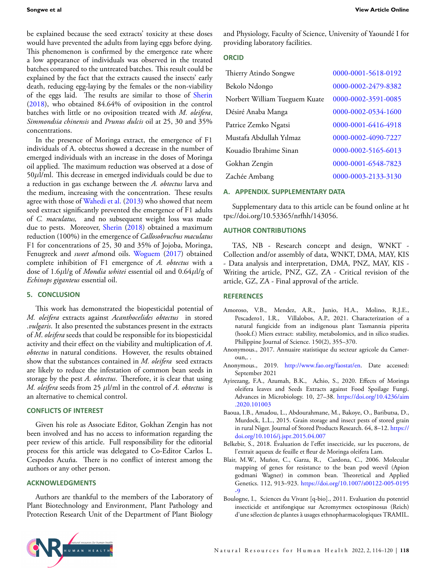be explained because the seed extracts' toxicity at these doses would have prevented the adults from laying eggs before dying. This phenomenon is confirmed by the emergence rate where a low appearance of individuals was observed in the treated batches compared to the untreated batches. This result could be explained by the fact that the extracts caused the insects' early death, reducing egg-laying by the females or the non-viability of the eggs laid. The results are similar to those of [Sherin](#page-5-10) ([2018\)](#page-5-10), who obtained 84.64% of oviposition in the control batches with little or no oviposition treated with *M. oleifera*, *Simmondsia chinensis* and *Prunus dulcis* oil at 25, 30 and 35% concentrations.

In the presence of Moringa extract, the emergence of F1 individuals of A. obtectus showed a decrease in the number of emerged individuals with an increase in the doses of Moringa oil applied. The maximum reduction was observed at a dose of 50*µ*l/ml. This decrease in emerged individuals could be due to a reduction in gas exchange between the *A. obtectus* larva and the medium, increasing with the concentration. These results agree with those of [Wahedi et al.](#page-5-28) [\(2013](#page-5-28)) who showed that neem seed extract significantly prevented the emergence of F1 adults of *C. maculatus,* and no subsequent weight loss was made due to pests. Moreover, [Sherin](#page-5-10) ([2018\)](#page-5-10) obtained a maximum reduction (100%) in the emergence of *Callosobruchus maculatus* F1 for concentrations of 25, 30 and 35% of Jojoba, Moringa, Fenugreek and *sweet al*mond oils. [Woguem](#page-6-1) [\(2017](#page-6-1)) obtained complete inhibition of F1 emergence of *A. obtectus* with a dose of 1.6*µ*l/g of *Mondia whitei* essential oil and 0.64*µ*l/g of *Echinops giganteus* essential oil.

## **5. CONCLUSION**

This work has demonstrated the biopesticidal potential of *M. oleifera* extracts against *Acanthocelides obtectus* in stored .*vulgaris*. It also presented the substances present in the extracts of *M*. *oleifera* seeds that could be responsible for its biopesticidal activity and their effect on the viability and multiplication of *A*. *obtectus* in natural conditions. However, the results obtained show that the substances contained in *M. oleifera* seed extracts are likely to reduce the infestation of common bean seeds in storage by the pest *A. obtectus*. Therefore, it is clear that using *M. oleifera* seeds from 25 *µ*l/ml in the control of *A. obtectus* is an alternative to chemical control.

## **CONFLICTS OF INTEREST**

Given his role as Associate Editor, Gokhan Zengin has not been involved and has no access to information regarding the peer review of this article. Full responsibility for the editorial process for this article was delegated to Co-Editor Carlos L. Cespedes Acuña. There is no conflict of interest among the authors or any other person.

## **ACKNOWLEDGMENTS**

Authors are thankful to the members of the Laboratory of Plant Biotechnology and Environment, Plant Pathology and Protection Research Unit of the Department of Plant Biology and Physiology, Faculty of Science, University of Yaoundé I for providing laboratory facilities.

### **ORCID**

| Thierry Atindo Songwe         | 0000-0001-5618-0192 |
|-------------------------------|---------------------|
| Bekolo Ndongo                 | 0000-0002-2479-8382 |
| Norbert William Tueguem Kuate | 0000-0002-3591-0085 |
| Désiré Anaba Manga            | 0000-0002-0534-1600 |
| Patrice Zemko Ngatsi          | 0000-0001-6416-4918 |
| Mustafa Abdullah Yılmaz       | 0000-0002-4090-7227 |
| Kouadio Ibrahime Sinan        | 0000-0002-5165-6013 |
| Gokhan Zengin                 | 0000-0001-6548-7823 |
| Zachée Ambang                 | 0000-0003-2133-3130 |

#### <span id="page-4-6"></span>**A. APPENDIX. SUPPLEMENTARY DATA**

Supplementary data to this article can be found online at ht tps://doi.org/10.53365/nrfhh/143056.

## **AUTHOR CONTRIBUTIONS**

TAS, NB - Research concept and design, WNKT - Collection and/or assembly of data, WNKT, DMA, MAY, KIS - Data analysis and interpretation, DMA, PNZ, MAY, KIS - Writing the article, PNZ, GZ, ZA - Critical revision of the article, GZ, ZA - Final approval of the article.

## **REFERENCES**

- <span id="page-4-8"></span>Amoroso, V.B., Mendez, A.R., Junio, H.A., Molino, R.J.E., Pescadero1, I.R., Villalobos, A.P., 2021. Characterization of a natural fungicide from an indigenous plant Tasmannia piperita (hook.f.) Miers extract: stability, metabolomics, and in silico studies. Philippine Journal of Science. 150(2), 355–370.
- <span id="page-4-2"></span>Anonymous., 2017. Annuaire statistique du secteur agricole du Cameroun,. .
- <span id="page-4-1"></span>Anonymous., 2019. <http://www.fao.org/faostat/en>. Date accessed: September 2021
- <span id="page-4-5"></span>Ayirezang, F.A., Azumah, B.K., Achio, S., 2020. Effects of Moringa oleifera leaves and Seeds Extracts against Food Spoilage Fungi. Advances in Microbiology. 10, 27–38. [https://doi.org/10.4236/aim](https://doi.org/10.4236/aim.2020.101003) [.2020.101003](https://doi.org/10.4236/aim.2020.101003)
- <span id="page-4-3"></span>Baoua, I.B., Amadou, L., Abdourahmane, M., Bakoye, O., Baributsa, D., Murdock, L.L., 2015. Grain storage and insect pests of stored grain in rural Niger. Journal of Stored Products Research. 64, 8–12. [https://](https://doi.org/10.1016/j.jspr.2015.04.007) [doi.org/10.1016/j.jspr.2015.04.007](https://doi.org/10.1016/j.jspr.2015.04.007)
- <span id="page-4-4"></span>Belkebir, S., 2018. Évaluation de l'effet insecticide, sur les pucerons, de l'extrait aqueux de feuille et fleur de Moringa oleifera Lam.
- <span id="page-4-0"></span>Blair, M.W., Muñoz, C., Garza, R., Cardona, C., 2006. Molecular mapping of genes for resistance to the bean pod weevil (Apion godmani Wagner) in common bean. Theoretical and Applied Genetics. 112, 913–923. [https://doi.org/10.1007/s00122-005-0195](https://doi.org/10.1007/s00122-005-0195-9) [-9](https://doi.org/10.1007/s00122-005-0195-9)
- <span id="page-4-7"></span>Boulogne, I., Sciences du Vivant [q-bio]., 2011. Evaluation du potentiel insecticide et antifongique sur Acromyrmex octospinosus (Reich) d'une sélection de plantes à usages ethnopharmacologiques TRAMIL.

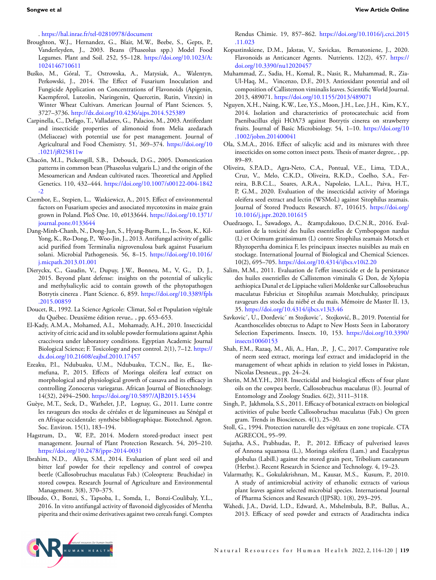. <https://hal.inrae.fr/tel-02810978/document>

- <span id="page-5-1"></span>Broughton, W.J., Hernandez, G., Blair, M.W., Beebe, S., Gepts, P., Vanderleyden, J., 2003. Beans (Phaseolus spp.) Model Food Legumes. Plant and Soil. 252, 55–128. [https://doi.org/10.1023/A:](https://doi.org/10.1023/A:1024146710611) [1024146710611](https://doi.org/10.1023/A:1024146710611)
- <span id="page-5-25"></span>Buśko, M., Góral, T., Ostrowska, A., Matysiak, A., Walentyn, Perkowski, J., 2014. The Effect of Fusarium Inoculation and Fungicide Application on Concentrations of Flavonoids (Apigenin, Kaempferol, Luteolin, Naringenin, Quercetin, Rutin, Vitexin) in Winter Wheat Cultivars. American Journal of Plant Sciences. 5, 3727–3736. <http://dx.doi.org/10.4236/ajps.2014.525389>
- <span id="page-5-17"></span>Carpinella, C., Defago, T., Valladares, G., Palacios, M., 2003. Antifeedant and insecticide properties of alimonoid from Melia azedarach (Meliaceae) with potential use for pest management. Journal of Agricultural and Food Chemistry. 51, 369–374. [https://doi.org/10](https://doi.org/10.1021/jf025811w) [.1021/jf025811w](https://doi.org/10.1021/jf025811w)
- <span id="page-5-0"></span>Chacón, M.I., Pickersgill, S.B., Debouck, D.G., 2005. Domestication patterns in common bean (Phaseolus vulgaris L.) and the origin of the Mesoamerican and Andean cultivated races. Theoretical and Applied Genetics. 110, 432–444. [https://doi.org/10.1007/s00122-004-1842](https://doi.org/10.1007/s00122-004-1842-2) [-2](https://doi.org/10.1007/s00122-004-1842-2)
- <span id="page-5-3"></span>Czembor, E., Stepien, L., Waskiewicz, A., 2015. Effect of environmental factors on Fusarium species and associated mycotoxins in maize grain grown in Poland. PloS One. 10, e0133644. [https://doi.org/10.1371/](https://doi.org/10.1371/journal.pone.0133644) [journal.pone.0133644](https://doi.org/10.1371/journal.pone.0133644)
- <span id="page-5-23"></span>Dang-Minh-Chanh, N., Dong-Jun, S., Hyang-Burm, L., In-Seon, K., Kil-Yong, K., Ro-Dong, P., Woo-Jin, J., 2013. Antifungal activity of gallic acid purified from Terminalia nigrovenulosa bark against Fusarium solani. Microbial Pathogenesis. 56, 8–15. [https://doi.org/10.1016/](https://doi.org/10.1016/j.micpath.2013.01.001) [j.micpath.2013.01.001](https://doi.org/10.1016/j.micpath.2013.01.001)
- <span id="page-5-26"></span>Dieryckx, C., Gaudin, V., Dupuy, J.W., Bonneu, M., V, G., D, J., 2015. Beyond plant defense: insights on the potential of salicylic and methylsalicylic acid to contain growth of the phytopathogen Botrytis cinerea . Plant Science. 6, 859. [https://doi.org/10.3389/fpls](https://doi.org/10.3389/fpls.2015.00859) [.2015.00859](https://doi.org/10.3389/fpls.2015.00859)
- <span id="page-5-2"></span>Doucet, R., 1992. La Science Agricole: Climat, Sol et Population végétale du Québec. Deuxième édition revue,. , pp. 653–653.
- <span id="page-5-22"></span>El-Kady, A.M.A., Mohamed, A.I., Mohamady, A.H., 2010. Insecticidal activity of citric acid and its soluble powder formulations against Aphis craccivora under laboratory conditions. Egyptian Academic Journal Biological Science; F. Toxicology and pest control. 2(1), 7–12. [https://](https://dx.doi.org/10.21608/eajbsf.2010.17457) [dx.doi.org/10.21608/eajbsf.2010.17457](https://dx.doi.org/10.21608/eajbsf.2010.17457)
- <span id="page-5-13"></span>Ezeaku, P.I., Ndubuaku, U.M., Ndubuaku, T.C.N., Ike, E., Ikemefuna, P., 2015. Effects of Moringa oleifera leaf extract on morphological and physiological growth of cassava and its efficacy in controlling Zonocerus variegatus. African Journal of Biotechnology. 14(32), 2494–2500. <https://doi.org/10.5897/AJB2015.14534>
- <span id="page-5-7"></span>Guèye, M.T., Seck, D., Wathelet, J.P., Lognay, G., 2011. Lutte contre les ravageurs des stocks de céréales et de légumineuses au Sénégal et en Afrique occidentale: synthèse bibliographique. Biotechnol. Agron. Soc. Environ. 15(1), 183–194.
- <span id="page-5-4"></span>Hagstrum, D., W, F.P., 2014. Modern stored-product insect pest management. Journal of Plant Protection Research. 54, 205–210. <https://doi.org/10.2478/jppr-2014-0031>
- <span id="page-5-18"></span>Ibrahim, N.D., Aliyu, S.M., 2014. Evaluation of plant seed oil and bitter leaf powder for their repellency and control of cowpea beetle (Callosobruchus maculatus Fab.) (Coleoptera: Bruchidae) in stored cowpea. Research Journal of Agriculture and Environmental Management. 3(8), 370–375.
- <span id="page-5-20"></span>Ilboudo, O., Bonzi, S., Tapsoba, I., Somda, I., Bonzi-Coulibaly, Y.L., 2016. In vitro antifungal activity of flavonoid diglycosides of Mentha piperita and their oxime derivatives against two cereals fungi. Comptes

Rendus Chimie. 19, 857–862. [https://doi.org/10.1016/j.crci.2015](https://doi.org/10.1016/j.crci.2015.11.023) [.11.023](https://doi.org/10.1016/j.crci.2015.11.023)

- <span id="page-5-21"></span>Kopustinskiene, D.M., Jakstas, V., Savickas, Bernatoniene, J., 2020. Flavonoids as Anticancer Agents. Nutrients. 12(2), 457. [https://](https://doi.org/10.3390/nu12020457) [doi.org/10.3390/nu12020457](https://doi.org/10.3390/nu12020457)
- <span id="page-5-16"></span>Muhammad, Z., Sadia, H., Komal, R., Nasir, R., Muhammad, R., Zia-Ul-Haq, M., Vincenzo, D.F., 2013. Antioxidant potential and oil composition of Callistemon viminalis leaves. Scientific World Journal. 2013, 489071. <https://doi.org/10.1155/2013/489071>
- <span id="page-5-24"></span>Nguyen, X.H., Naing, K.W., Lee, Y.S., Moon, J.H., Lee, J.H., Kim, K.Y., 2014. Isolation and characteristics of protocatechuic acid from Paenibacillus elgii HOA73 against Botrytis cinerea on strawberry fruits. Journal of Basic Microbiology. 54, 1–10. [https://doi.org/10](https://doi.org/10.1002/jobm.201400041) [.1002/jobm.201400041](https://doi.org/10.1002/jobm.201400041)
- <span id="page-5-27"></span>Ola, S.M.A., 2016. Effect of salicylic acid and its mixtures with three insecticides on some cotton insect pests. Thesis of master degree,. , pp. 89–89.
- <span id="page-5-8"></span>Oliveira, S.P.A.D., Agra-Neto, C.A., Pontual, V.E., Lima, T.D.A., Cruz, V., Melo, C.K.D., Oliveira, R.K.D., Coelho, S.A., Ferreira, B.B.C.L., Soares, A.R.A., Napoleão, L.A.L., Paiva, H.T., P, G.M., 2020. Evaluation of the insecticidal activity of Moringa oleifera seed extract and lectin (WSMoL) against Sitophilus zeamais. Journal of Stored Products Research. 87, 101615. [https://doi.org/](https://doi.org/10.1016/j.jspr.2020.101615) [10.1016/j.jspr.2020.101615](https://doi.org/10.1016/j.jspr.2020.101615)
- <span id="page-5-19"></span>Ouedraogo, I., Sawadogo, A., &dakouo, D.C.N.R., 2016. Evaluation de la toxicité des huiles essentielles de Cymbopogon nardus (L) et Ocimum gratissimum (L) contre Sitophilus zeamais Motsch et Rhyzopertha dominica F, les principaux insectes nuisibles au maïs en stockage. International Journal of Biological and Chemical Sciences. 10(2), 695–705. <https://doi.org/10.4314/ijbcs.v10i2.20>
- <span id="page-5-6"></span>Salim, M.M., 2011. Evaluation de l'effet insecticide et de la persistance des huiles essentielles de Callistemon viminalis G Don, de Xylopia aethiopica Dunal et de Lippiache valieri Moldenke sur Callosobruchus maculatus Fabricius et Sitophilus zeamais Motchulsky, principaux ravageurs des stocks du niébé et du maïs. Mémoire de Master II. 13, 35. <https://doi.org/10.4314/ijbcs.v13i3.46>
- <span id="page-5-5"></span>Savkovic´, U., Đorđevic´ m Stojkovic´, Stojković, B., 2019. Potential for Acanthoscelides obtectus to Adapt to New Hosts Seen in Laboratory Selection Experiments. Insects. 10, 153. [https://doi.org/10.3390/](https://doi.org/10.3390/insects10060153) [insects10060153](https://doi.org/10.3390/insects10060153)
- <span id="page-5-9"></span>Shah, F.M., Razaq, M., Ali, A., Han, .P., J, C., 2017. Comparative role of neem seed extract, moringa leaf extract and imidacloprid in the management of wheat aphids in relation to yield losses in Pakistan, Nicolas Desneux., pp. 24–24.
- <span id="page-5-10"></span>Sherin, M.M.Y.H., 2018. Insecticidal and biological effects of four plant oils on the cowpea beetle, Callosobruchus maculatus (F.). Journal of Entomology and Zoology Studies. 6(2), 3111–3118.
- <span id="page-5-15"></span>Singh, P., Jakhmola, S.S., 2011. Efficacy of botanical extracts on biological activities of pulse beetle Callosobruchus maculatus (Fab.) On green gram. Trends in Biosciences. 4(1), 25–30.
- <span id="page-5-14"></span>Stoll, G., 1994. Protection naturelle des végétaux en zone tropicale. CTA AGRECOL, 95–99.
- <span id="page-5-11"></span>Sujatha, A.S., Prabhudas, P., P., 2012. Efficacy of pulverised leaves of Annona squamosa (L.), Moringa oleifera (Lam.) and Eucalyptus globulus (Labill.) against the stored grain pest, Tribolium castaneum (Herbst.). Recent Research in Science and Technology. 4, 19–23.
- <span id="page-5-12"></span>Valarmathy, K., Gokulakrishnan, M., Kausar, M.S., Kusum, P., 2010. A study of antimicrobial activity of ethanolic extracts of various plant leaves against selected microbial species. International Journal of Pharma Sciences and Research (IJPSR). 1(8), 293–295.
- <span id="page-5-28"></span>Wahedi, J.A., David, L.D., Edward, A., Mshelmbula, B.P., Bullus, A., 2013. Efficacy of seed powder and extracts of Azadirachta indica